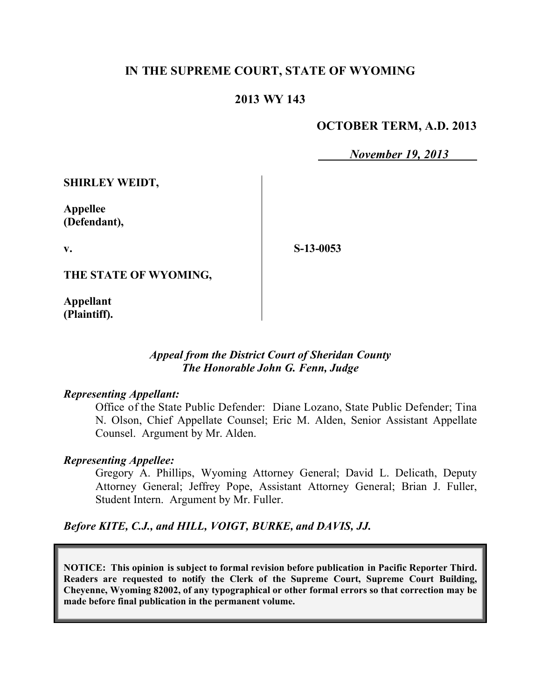# **IN THE SUPREME COURT, STATE OF WYOMING**

# **2013 WY 143**

## **OCTOBER TERM, A.D. 2013**

*November 19, 2013*

**SHIRLEY WEIDT,**

**Appellee (Defendant),**

**v.**

**S-13-0053**

**THE STATE OF WYOMING,**

**Appellant (Plaintiff).**

## *Appeal from the District Court of Sheridan County The Honorable John G. Fenn, Judge*

## *Representing Appellant:*

Office of the State Public Defender: Diane Lozano, State Public Defender; Tina N. Olson, Chief Appellate Counsel; Eric M. Alden, Senior Assistant Appellate Counsel. Argument by Mr. Alden.

## *Representing Appellee:*

Gregory A. Phillips, Wyoming Attorney General; David L. Delicath, Deputy Attorney General; Jeffrey Pope, Assistant Attorney General; Brian J. Fuller, Student Intern. Argument by Mr. Fuller.

*Before KITE, C.J., and HILL, VOIGT, BURKE, and DAVIS, JJ.*

**NOTICE: This opinion is subject to formal revision before publication in Pacific Reporter Third. Readers are requested to notify the Clerk of the Supreme Court, Supreme Court Building, Cheyenne, Wyoming 82002, of any typographical or other formal errors so that correction may be made before final publication in the permanent volume.**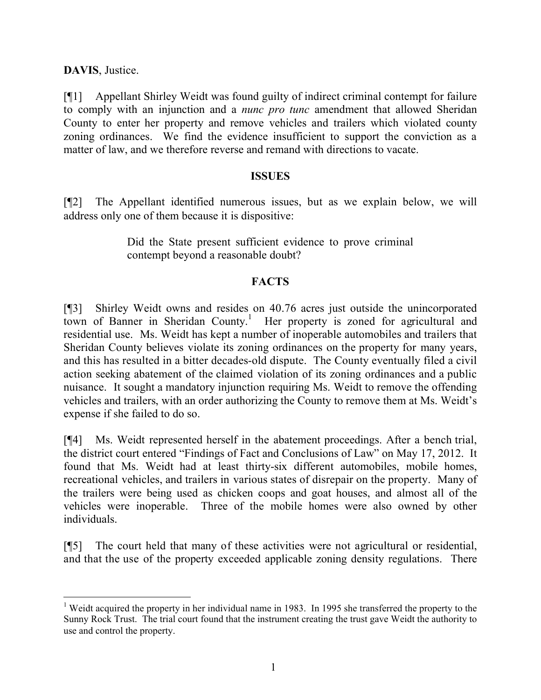**DAVIS**, Justice.

[¶1] Appellant Shirley Weidt was found guilty of indirect criminal contempt for failure to comply with an injunction and a *nunc pro tunc* amendment that allowed Sheridan County to enter her property and remove vehicles and trailers which violated county zoning ordinances. We find the evidence insufficient to support the conviction as a matter of law, and we therefore reverse and remand with directions to vacate.

#### **ISSUES**

[¶2] The Appellant identified numerous issues, but as we explain below, we will address only one of them because it is dispositive:

> Did the State present sufficient evidence to prove criminal contempt beyond a reasonable doubt?

## **FACTS**

[¶3] Shirley Weidt owns and resides on 40.76 acres just outside the unincorporated town of Banner in Sheridan County.<sup>1</sup> Her property is zoned for agricultural and residential use. Ms. Weidt has kept a number of inoperable automobiles and trailers that Sheridan County believes violate its zoning ordinances on the property for many years, and this has resulted in a bitter decades-old dispute. The County eventually filed a civil action seeking abatement of the claimed violation of its zoning ordinances and a public nuisance. It sought a mandatory injunction requiring Ms. Weidt to remove the offending vehicles and trailers, with an order authorizing the County to remove them at Ms. Weidt's expense if she failed to do so.

[¶4] Ms. Weidt represented herself in the abatement proceedings. After a bench trial, the district court entered "Findings of Fact and Conclusions of Law" on May 17, 2012. It found that Ms. Weidt had at least thirty-six different automobiles, mobile homes, recreational vehicles, and trailers in various states of disrepair on the property. Many of the trailers were being used as chicken coops and goat houses, and almost all of the vehicles were inoperable. Three of the mobile homes were also owned by other individuals.

[¶5] The court held that many of these activities were not agricultural or residential, and that the use of the property exceeded applicable zoning density regulations. There

<sup>&</sup>lt;sup>1</sup> Weidt acquired the property in her individual name in 1983. In 1995 she transferred the property to the Sunny Rock Trust. The trial court found that the instrument creating the trust gave Weidt the authority to use and control the property.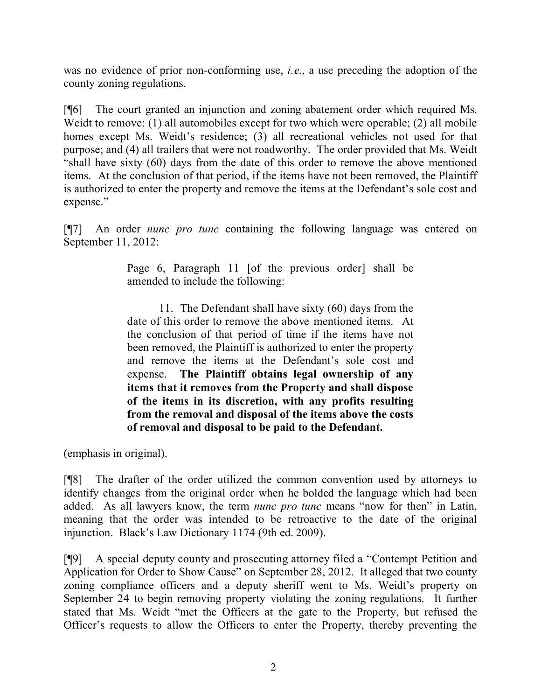was no evidence of prior non-conforming use, *i.e*., a use preceding the adoption of the county zoning regulations.

[¶6] The court granted an injunction and zoning abatement order which required Ms. Weidt to remove: (1) all automobiles except for two which were operable; (2) all mobile homes except Ms. Weidt's residence; (3) all recreational vehicles not used for that purpose; and (4) all trailers that were not roadworthy. The order provided that Ms. Weidt "shall have sixty (60) days from the date of this order to remove the above mentioned items. At the conclusion of that period, if the items have not been removed, the Plaintiff is authorized to enter the property and remove the items at the Defendant's sole cost and expense."

[¶7] An order *nunc pro tunc* containing the following language was entered on September 11, 2012:

> Page 6, Paragraph 11 [of the previous order] shall be amended to include the following:

> 11. The Defendant shall have sixty (60) days from the date of this order to remove the above mentioned items. At the conclusion of that period of time if the items have not been removed, the Plaintiff is authorized to enter the property and remove the items at the Defendant's sole cost and expense. **The Plaintiff obtains legal ownership of any items that it removes from the Property and shall dispose of the items in its discretion, with any profits resulting from the removal and disposal of the items above the costs of removal and disposal to be paid to the Defendant.**

(emphasis in original).

[¶8] The drafter of the order utilized the common convention used by attorneys to identify changes from the original order when he bolded the language which had been added. As all lawyers know, the term *nunc pro tunc* means "now for then" in Latin, meaning that the order was intended to be retroactive to the date of the original injunction. Black's Law Dictionary 1174 (9th ed. 2009).

[¶9] A special deputy county and prosecuting attorney filed a "Contempt Petition and Application for Order to Show Cause" on September 28, 2012. It alleged that two county zoning compliance officers and a deputy sheriff went to Ms. Weidt's property on September 24 to begin removing property violating the zoning regulations. It further stated that Ms. Weidt "met the Officers at the gate to the Property, but refused the Officer's requests to allow the Officers to enter the Property, thereby preventing the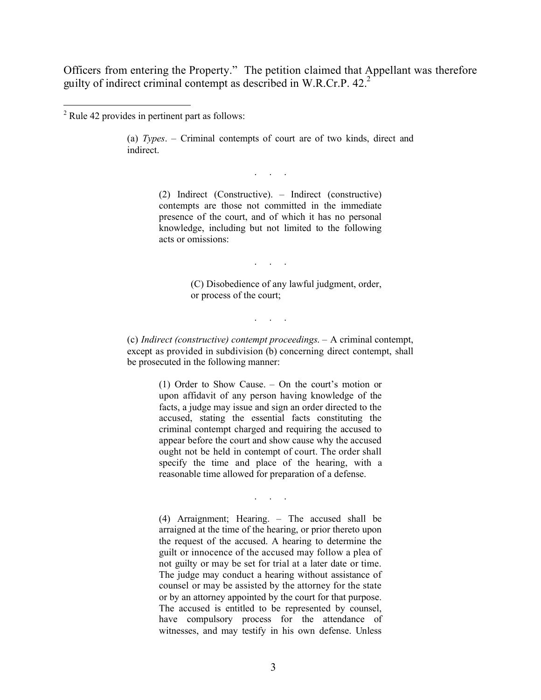Officers from entering the Property." The petition claimed that Appellant was therefore guilty of indirect criminal contempt as described in W.R.Cr.P. 42.<sup>2</sup>

(a) *Types*. – Criminal contempts of court are of two kinds, direct and indirect.

. . .

(2) Indirect (Constructive). – Indirect (constructive) contempts are those not committed in the immediate presence of the court, and of which it has no personal knowledge, including but not limited to the following acts or omissions:

. . .

(C) Disobedience of any lawful judgment, order, or process of the court;

. . . . .<br>. . . . . .

(c) *Indirect (constructive) contempt proceedings*. – A criminal contempt, except as provided in subdivision (b) concerning direct contempt, shall be prosecuted in the following manner:

> (1) Order to Show Cause. – On the court's motion or upon affidavit of any person having knowledge of the facts, a judge may issue and sign an order directed to the accused, stating the essential facts constituting the criminal contempt charged and requiring the accused to appear before the court and show cause why the accused ought not be held in contempt of court. The order shall specify the time and place of the hearing, with a reasonable time allowed for preparation of a defense.

> > . . .

(4) Arraignment; Hearing. – The accused shall be arraigned at the time of the hearing, or prior thereto upon the request of the accused. A hearing to determine the guilt or innocence of the accused may follow a plea of not guilty or may be set for trial at a later date or time. The judge may conduct a hearing without assistance of counsel or may be assisted by the attorney for the state or by an attorney appointed by the court for that purpose. The accused is entitled to be represented by counsel, have compulsory process for the attendance of witnesses, and may testify in his own defense. Unless

<sup>2</sup> Rule 42 provides in pertinent part as follows: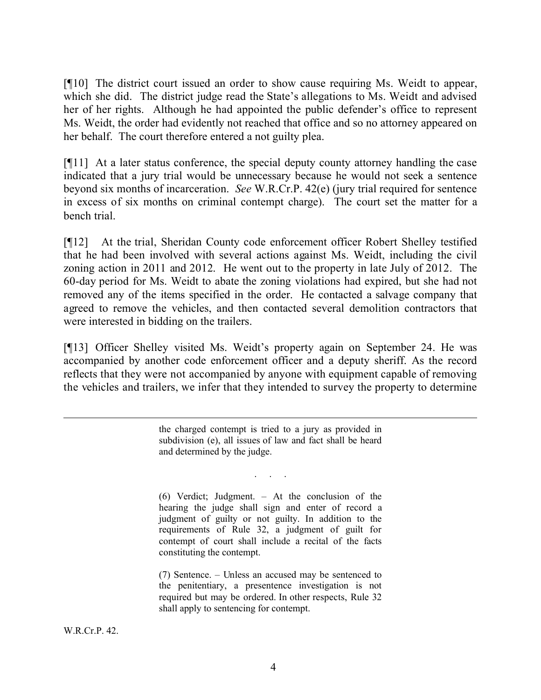[¶10] The district court issued an order to show cause requiring Ms. Weidt to appear, which she did. The district judge read the State's allegations to Ms. Weidt and advised her of her rights. Although he had appointed the public defender's office to represent Ms. Weidt, the order had evidently not reached that office and so no attorney appeared on her behalf. The court therefore entered a not guilty plea.

[¶11] At a later status conference, the special deputy county attorney handling the case indicated that a jury trial would be unnecessary because he would not seek a sentence beyond six months of incarceration. *See* W.R.Cr.P. 42(e) (jury trial required for sentence in excess of six months on criminal contempt charge). The court set the matter for a bench trial.

[¶12] At the trial, Sheridan County code enforcement officer Robert Shelley testified that he had been involved with several actions against Ms. Weidt, including the civil zoning action in 2011 and 2012. He went out to the property in late July of 2012. The 60-day period for Ms. Weidt to abate the zoning violations had expired, but she had not removed any of the items specified in the order. He contacted a salvage company that agreed to remove the vehicles, and then contacted several demolition contractors that were interested in bidding on the trailers.

[¶13] Officer Shelley visited Ms. Weidt's property again on September 24. He was accompanied by another code enforcement officer and a deputy sheriff. As the record reflects that they were not accompanied by anyone with equipment capable of removing the vehicles and trailers, we infer that they intended to survey the property to determine

> the charged contempt is tried to a jury as provided in subdivision (e), all issues of law and fact shall be heard and determined by the judge.

> > . . . . .<br>. . . . . .

(6) Verdict; Judgment. – At the conclusion of the hearing the judge shall sign and enter of record a judgment of guilty or not guilty. In addition to the requirements of Rule 32, a judgment of guilt for contempt of court shall include a recital of the facts constituting the contempt.

(7) Sentence. – Unless an accused may be sentenced to the penitentiary, a presentence investigation is not required but may be ordered. In other respects, Rule 32 shall apply to sentencing for contempt.

 $\overline{a}$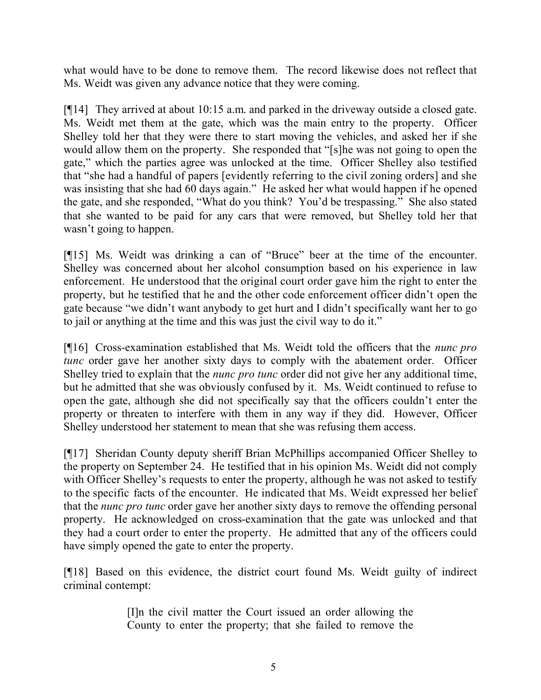what would have to be done to remove them. The record likewise does not reflect that Ms. Weidt was given any advance notice that they were coming.

[¶14] They arrived at about 10:15 a.m. and parked in the driveway outside a closed gate. Ms. Weidt met them at the gate, which was the main entry to the property. Officer Shelley told her that they were there to start moving the vehicles, and asked her if she would allow them on the property. She responded that "[s]he was not going to open the gate," which the parties agree was unlocked at the time. Officer Shelley also testified that "she had a handful of papers [evidently referring to the civil zoning orders] and she was insisting that she had 60 days again." He asked her what would happen if he opened the gate, and she responded, "What do you think? You'd be trespassing." She also stated that she wanted to be paid for any cars that were removed, but Shelley told her that wasn't going to happen.

[¶15] Ms. Weidt was drinking a can of "Bruce" beer at the time of the encounter. Shelley was concerned about her alcohol consumption based on his experience in law enforcement. He understood that the original court order gave him the right to enter the property, but he testified that he and the other code enforcement officer didn't open the gate because "we didn't want anybody to get hurt and I didn't specifically want her to go to jail or anything at the time and this was just the civil way to do it."

[¶16] Cross-examination established that Ms. Weidt told the officers that the *nunc pro tunc* order gave her another sixty days to comply with the abatement order. Officer Shelley tried to explain that the *nunc pro tunc* order did not give her any additional time, but he admitted that she was obviously confused by it. Ms. Weidt continued to refuse to open the gate, although she did not specifically say that the officers couldn't enter the property or threaten to interfere with them in any way if they did. However, Officer Shelley understood her statement to mean that she was refusing them access.

[¶17] Sheridan County deputy sheriff Brian McPhillips accompanied Officer Shelley to the property on September 24. He testified that in his opinion Ms. Weidt did not comply with Officer Shelley's requests to enter the property, although he was not asked to testify to the specific facts of the encounter. He indicated that Ms. Weidt expressed her belief that the *nunc pro tunc* order gave her another sixty days to remove the offending personal property. He acknowledged on cross-examination that the gate was unlocked and that they had a court order to enter the property. He admitted that any of the officers could have simply opened the gate to enter the property.

[¶18] Based on this evidence, the district court found Ms. Weidt guilty of indirect criminal contempt:

> [I]n the civil matter the Court issued an order allowing the County to enter the property; that she failed to remove the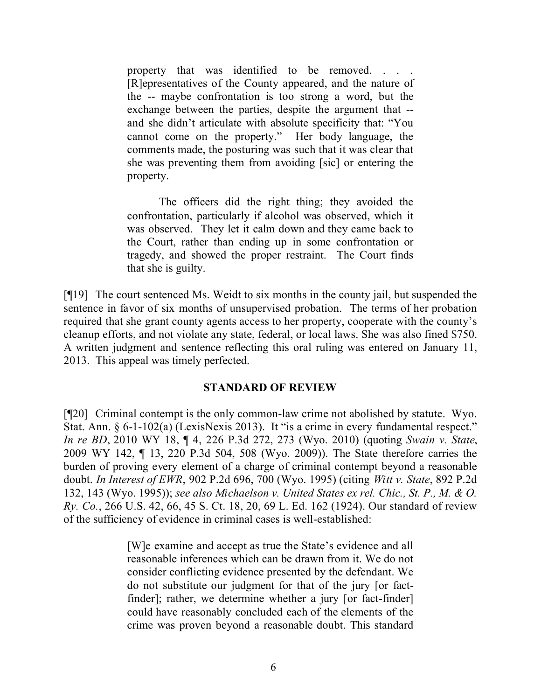property that was identified to be removed. . . . [R]epresentatives of the County appeared, and the nature of the -- maybe confrontation is too strong a word, but the exchange between the parties, despite the argument that - and she didn't articulate with absolute specificity that: "You cannot come on the property." Her body language, the comments made, the posturing was such that it was clear that she was preventing them from avoiding [sic] or entering the property.

The officers did the right thing; they avoided the confrontation, particularly if alcohol was observed, which it was observed. They let it calm down and they came back to the Court, rather than ending up in some confrontation or tragedy, and showed the proper restraint. The Court finds that she is guilty.

[¶19] The court sentenced Ms. Weidt to six months in the county jail, but suspended the sentence in favor of six months of unsupervised probation. The terms of her probation required that she grant county agents access to her property, cooperate with the county's cleanup efforts, and not violate any state, federal, or local laws. She was also fined \$750. A written judgment and sentence reflecting this oral ruling was entered on January 11, 2013. This appeal was timely perfected.

## **STANDARD OF REVIEW**

[¶20] Criminal contempt is the only common-law crime not abolished by statute. Wyo. Stat. Ann. § 6-1-102(a) (LexisNexis 2013). It "is a crime in every fundamental respect." *In re BD*, 2010 WY 18, ¶ 4, 226 P.3d 272, 273 (Wyo. 2010) (quoting *Swain v. State*, 2009 WY 142, ¶ 13, 220 P.3d 504, 508 (Wyo. 2009)). The State therefore carries the burden of proving every element of a charge of criminal contempt beyond a reasonable doubt. *In Interest of EWR*, 902 P.2d 696, 700 (Wyo. 1995) (citing *Witt v. State*, 892 P.2d 132, 143 (Wyo. 1995)); *see also Michaelson v. United States ex rel. Chic., St. P., M. & O. Ry. Co.*, 266 U.S. 42, 66, 45 S. Ct. 18, 20, 69 L. Ed. 162 (1924). Our standard of review of the sufficiency of evidence in criminal cases is well-established:

> [W]e examine and accept as true the State's evidence and all reasonable inferences which can be drawn from it. We do not consider conflicting evidence presented by the defendant. We do not substitute our judgment for that of the jury [or factfinder]; rather, we determine whether a jury [or fact-finder] could have reasonably concluded each of the elements of the crime was proven beyond a reasonable doubt. This standard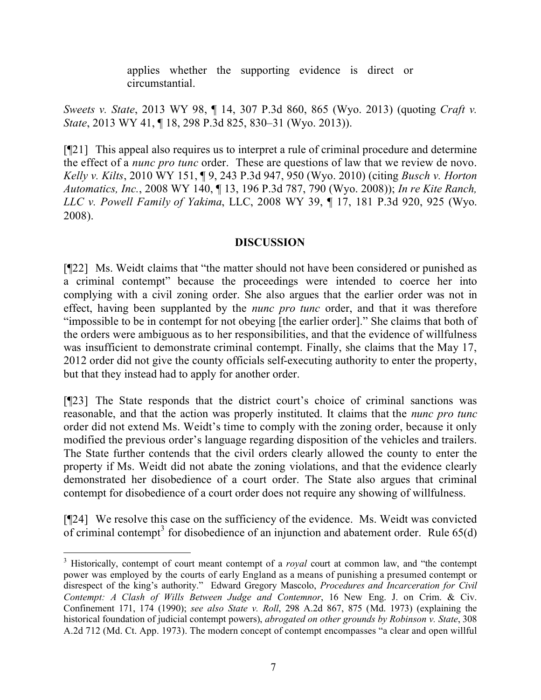applies whether the supporting evidence is direct or circumstantial.

*Sweets v. State*, 2013 WY 98, ¶ 14, 307 P.3d 860, 865 (Wyo. 2013) (quoting *Craft v. State*, 2013 WY 41, ¶ 18, 298 P.3d 825, 830–31 (Wyo. 2013)).

[¶21] This appeal also requires us to interpret a rule of criminal procedure and determine the effect of a *nunc pro tunc* order. These are questions of law that we review de novo. *Kelly v. Kilts*, 2010 WY 151, ¶ 9, 243 P.3d 947, 950 (Wyo. 2010) (citing *Busch v. Horton Automatics, Inc.*, 2008 WY 140, ¶ 13, 196 P.3d 787, 790 (Wyo. 2008)); *In re Kite Ranch, LLC v. Powell Family of Yakima*, LLC, 2008 WY 39, ¶ 17, 181 P.3d 920, 925 (Wyo. 2008).

# **DISCUSSION**

[¶22] Ms. Weidt claims that "the matter should not have been considered or punished as a criminal contempt" because the proceedings were intended to coerce her into complying with a civil zoning order. She also argues that the earlier order was not in effect, having been supplanted by the *nunc pro tunc* order, and that it was therefore "impossible to be in contempt for not obeying [the earlier order]." She claims that both of the orders were ambiguous as to her responsibilities, and that the evidence of willfulness was insufficient to demonstrate criminal contempt. Finally, she claims that the May 17, 2012 order did not give the county officials self-executing authority to enter the property, but that they instead had to apply for another order.

[¶23] The State responds that the district court's choice of criminal sanctions was reasonable, and that the action was properly instituted. It claims that the *nunc pro tunc* order did not extend Ms. Weidt's time to comply with the zoning order, because it only modified the previous order's language regarding disposition of the vehicles and trailers. The State further contends that the civil orders clearly allowed the county to enter the property if Ms. Weidt did not abate the zoning violations, and that the evidence clearly demonstrated her disobedience of a court order. The State also argues that criminal contempt for disobedience of a court order does not require any showing of willfulness.

[¶24] We resolve this case on the sufficiency of the evidence. Ms. Weidt was convicted of criminal contempt<sup>3</sup> for disobedience of an injunction and abatement order. Rule  $65(d)$ 

 $\overline{a}$ 

<sup>3</sup> Historically, contempt of court meant contempt of a *royal* court at common law, and "the contempt power was employed by the courts of early England as a means of punishing a presumed contempt or disrespect of the king's authority." Edward Gregory Mascolo, *Procedures and Incarceration for Civil Contempt: A Clash of Wills Between Judge and Contemnor*, 16 New Eng. J. on Crim. & Civ. Confinement 171, 174 (1990); *see also State v. Roll*, 298 A.2d 867, 875 (Md. 1973) (explaining the historical foundation of judicial contempt powers), *abrogated on other grounds by Robinson v. State*, 308 A.2d 712 (Md. Ct. App. 1973). The modern concept of contempt encompasses "a clear and open willful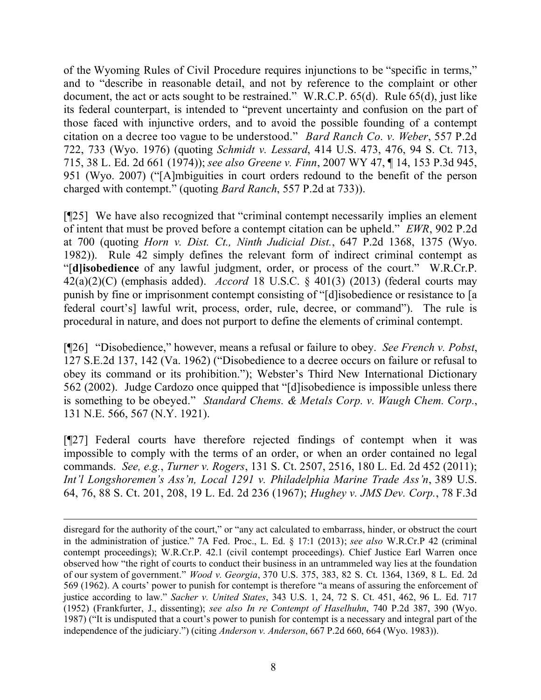of the Wyoming Rules of Civil Procedure requires injunctions to be "specific in terms," and to "describe in reasonable detail, and not by reference to the complaint or other document, the act or acts sought to be restrained." W.R.C.P. 65(d). Rule 65(d), just like its federal counterpart, is intended to "prevent uncertainty and confusion on the part of those faced with injunctive orders, and to avoid the possible founding of a contempt citation on a decree too vague to be understood." *Bard Ranch Co. v. Weber*, 557 P.2d 722, 733 (Wyo. 1976) (quoting *Schmidt v. Lessard*, 414 U.S. 473, 476, 94 S. Ct. 713, 715, 38 L. Ed. 2d 661 (1974)); *see also Greene v. Finn*, 2007 WY 47, ¶ 14, 153 P.3d 945, 951 (Wyo. 2007) ("[A]mbiguities in court orders redound to the benefit of the person charged with contempt." (quoting *Bard Ranch*, 557 P.2d at 733)).

[¶25] We have also recognized that "criminal contempt necessarily implies an element of intent that must be proved before a contempt citation can be upheld." *EWR*, 902 P.2d at 700 (quoting *Horn v. Dist. Ct., Ninth Judicial Dist.*, 647 P.2d 1368, 1375 (Wyo. 1982)). Rule 42 simply defines the relevant form of indirect criminal contempt as "[**d]isobedience** of any lawful judgment, order, or process of the court." W.R.Cr.P. 42(a)(2)(C) (emphasis added). *Accord* 18 U.S.C. § 401(3) (2013) (federal courts may punish by fine or imprisonment contempt consisting of "[d]isobedience or resistance to [a federal court's] lawful writ, process, order, rule, decree, or command"). The rule is procedural in nature, and does not purport to define the elements of criminal contempt.

[¶26] "Disobedience," however, means a refusal or failure to obey. *See French v. Pobst*, 127 S.E.2d 137, 142 (Va. 1962) ("Disobedience to a decree occurs on failure or refusal to obey its command or its prohibition."); Webster's Third New International Dictionary 562 (2002). Judge Cardozo once quipped that "[d]isobedience is impossible unless there is something to be obeyed." *Standard Chems. & Metals Corp. v. Waugh Chem. Corp.*, 131 N.E. 566, 567 (N.Y. 1921).

[¶27] Federal courts have therefore rejected findings of contempt when it was impossible to comply with the terms of an order, or when an order contained no legal commands. *See, e.g.*, *Turner v. Rogers*, 131 S. Ct. 2507, 2516, 180 L. Ed. 2d 452 (2011); *Int'l Longshoremen's Ass'n, Local 1291 v. Philadelphia Marine Trade Ass'n*, 389 U.S. 64, 76, 88 S. Ct. 201, 208, 19 L. Ed. 2d 236 (1967); *Hughey v. JMS Dev. Corp.*, 78 F.3d

disregard for the authority of the court," or "any act calculated to embarrass, hinder, or obstruct the court in the administration of justice." 7A Fed. Proc., L. Ed. § 17:1 (2013); *see also* W.R.Cr.P 42 (criminal contempt proceedings); W.R.Cr.P. 42.1 (civil contempt proceedings). Chief Justice Earl Warren once observed how "the right of courts to conduct their business in an untrammeled way lies at the foundation of our system of government." *Wood v. Georgia*, 370 U.S. 375, 383, 82 S. Ct. 1364, 1369, 8 L. Ed. 2d 569 (1962). A courts' power to punish for contempt is therefore "a means of assuring the enforcement of justice according to law." *Sacher v. United States*, 343 U.S. 1, 24, 72 S. Ct. 451, 462, 96 L. Ed. 717 (1952) (Frankfurter, J., dissenting); *see also In re Contempt of Haselhuhn*, 740 P.2d 387, 390 (Wyo. 1987) ("It is undisputed that a court's power to punish for contempt is a necessary and integral part of the independence of the judiciary.") (citing *Anderson v. Anderson*, 667 P.2d 660, 664 (Wyo. 1983)).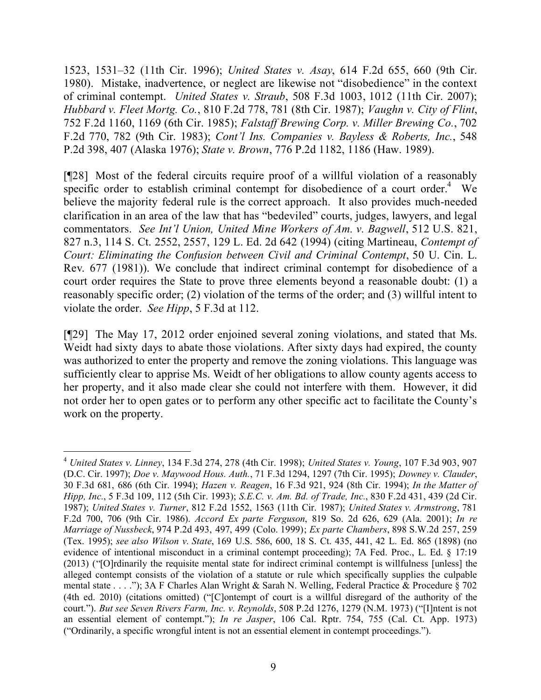1523, 1531–32 (11th Cir. 1996); *United States v. Asay*, 614 F.2d 655, 660 (9th Cir. 1980). Mistake, inadvertence, or neglect are likewise not "disobedience" in the context of criminal contempt. *United States v. Straub*, 508 F.3d 1003, 1012 (11th Cir. 2007); *Hubbard v. Fleet Mortg. Co.*, 810 F.2d 778, 781 (8th Cir. 1987); *Vaughn v. City of Flint*, 752 F.2d 1160, 1169 (6th Cir. 1985); *Falstaff Brewing Corp. v. Miller Brewing Co.*, 702 F.2d 770, 782 (9th Cir. 1983); *Cont'l Ins. Companies v. Bayless & Roberts, Inc.*, 548 P.2d 398, 407 (Alaska 1976); *State v. Brown*, 776 P.2d 1182, 1186 (Haw. 1989).

[¶28] Most of the federal circuits require proof of a willful violation of a reasonably specific order to establish criminal contempt for disobedience of a court order.<sup>4</sup> We believe the majority federal rule is the correct approach. It also provides much-needed clarification in an area of the law that has "bedeviled" courts, judges, lawyers, and legal commentators. *See Int'l Union, United Mine Workers of Am. v. Bagwell*, 512 U.S. 821, 827 n.3, 114 S. Ct. 2552, 2557, 129 L. Ed. 2d 642 (1994) (citing Martineau, *Contempt of Court: Eliminating the Confusion between Civil and Criminal Contempt*, 50 U. Cin. L. Rev. 677 (1981)). We conclude that indirect criminal contempt for disobedience of a court order requires the State to prove three elements beyond a reasonable doubt: (1) a reasonably specific order; (2) violation of the terms of the order; and (3) willful intent to violate the order. *See Hipp*, 5 F.3d at 112.

[¶29] The May 17, 2012 order enjoined several zoning violations, and stated that Ms. Weidt had sixty days to abate those violations. After sixty days had expired, the county was authorized to enter the property and remove the zoning violations. This language was sufficiently clear to apprise Ms. Weidt of her obligations to allow county agents access to her property, and it also made clear she could not interfere with them. However, it did not order her to open gates or to perform any other specific act to facilitate the County's work on the property.

 <sup>4</sup> *United States v. Linney*, 134 F.3d 274, 278 (4th Cir. 1998); *United States v. Young*, 107 F.3d 903, 907 (D.C. Cir. 1997); *Doe v. Maywood Hous. Auth.*, 71 F.3d 1294, 1297 (7th Cir. 1995); *Downey v. Clauder*, 30 F.3d 681, 686 (6th Cir. 1994); *Hazen v. Reagen*, 16 F.3d 921, 924 (8th Cir. 1994); *In the Matter of Hipp, Inc.*, 5 F.3d 109, 112 (5th Cir. 1993); *S.E.C. v. Am. Bd. of Trade, Inc.*, 830 F.2d 431, 439 (2d Cir. 1987); *United States v. Turner*, 812 F.2d 1552, 1563 (11th Cir. 1987); *United States v. Armstrong*, 781 F.2d 700, 706 (9th Cir. 1986). *Accord Ex parte Ferguson*, 819 So. 2d 626, 629 (Ala. 2001); *In re Marriage of Nussbeck*, 974 P.2d 493, 497, 499 (Colo. 1999); *Ex parte Chambers*, 898 S.W.2d 257, 259 (Tex. 1995); *see also Wilson v. State*, 169 U.S. 586, 600, 18 S. Ct. 435, 441, 42 L. Ed. 865 (1898) (no evidence of intentional misconduct in a criminal contempt proceeding); 7A Fed. Proc., L. Ed. § 17:19 (2013) ("[O]rdinarily the requisite mental state for indirect criminal contempt is willfulness [unless] the alleged contempt consists of the violation of a statute or rule which specifically supplies the culpable mental state . . . ."); 3A F Charles Alan Wright & Sarah N. Welling, Federal Practice & Procedure § 702 (4th ed. 2010) (citations omitted) ("[C]ontempt of court is a willful disregard of the authority of the court."). *But see Seven Rivers Farm, Inc. v. Reynolds*, 508 P.2d 1276, 1279 (N.M. 1973) ("[I]ntent is not an essential element of contempt."); *In re Jasper*, 106 Cal. Rptr. 754, 755 (Cal. Ct. App. 1973) ("Ordinarily, a specific wrongful intent is not an essential element in contempt proceedings.").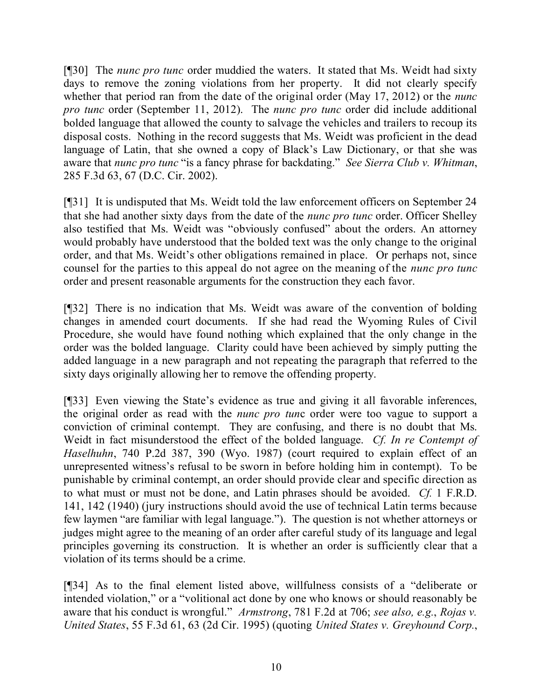[¶30] The *nunc pro tunc* order muddied the waters. It stated that Ms. Weidt had sixty days to remove the zoning violations from her property. It did not clearly specify whether that period ran from the date of the original order (May 17, 2012) or the *nunc pro tunc* order (September 11, 2012). The *nunc pro tunc* order did include additional bolded language that allowed the county to salvage the vehicles and trailers to recoup its disposal costs. Nothing in the record suggests that Ms. Weidt was proficient in the dead language of Latin, that she owned a copy of Black's Law Dictionary, or that she was aware that *nunc pro tunc* "is a fancy phrase for backdating." *See Sierra Club v. Whitman*, 285 F.3d 63, 67 (D.C. Cir. 2002).

[¶31] It is undisputed that Ms. Weidt told the law enforcement officers on September 24 that she had another sixty days from the date of the *nunc pro tunc* order. Officer Shelley also testified that Ms. Weidt was "obviously confused" about the orders. An attorney would probably have understood that the bolded text was the only change to the original order, and that Ms. Weidt's other obligations remained in place. Or perhaps not, since counsel for the parties to this appeal do not agree on the meaning of the *nunc pro tunc* order and present reasonable arguments for the construction they each favor.

[¶32] There is no indication that Ms. Weidt was aware of the convention of bolding changes in amended court documents. If she had read the Wyoming Rules of Civil Procedure, she would have found nothing which explained that the only change in the order was the bolded language. Clarity could have been achieved by simply putting the added language in a new paragraph and not repeating the paragraph that referred to the sixty days originally allowing her to remove the offending property.

[¶33] Even viewing the State's evidence as true and giving it all favorable inferences, the original order as read with the *nunc pro tun*c order were too vague to support a conviction of criminal contempt. They are confusing, and there is no doubt that Ms. Weidt in fact misunderstood the effect of the bolded language. *Cf. In re Contempt of Haselhuhn*, 740 P.2d 387, 390 (Wyo. 1987) (court required to explain effect of an unrepresented witness's refusal to be sworn in before holding him in contempt). To be punishable by criminal contempt, an order should provide clear and specific direction as to what must or must not be done, and Latin phrases should be avoided. *Cf.* 1 F.R.D. 141, 142 (1940) (jury instructions should avoid the use of technical Latin terms because few laymen "are familiar with legal language."). The question is not whether attorneys or judges might agree to the meaning of an order after careful study of its language and legal principles governing its construction. It is whether an order is sufficiently clear that a violation of its terms should be a crime.

[¶34] As to the final element listed above, willfulness consists of a "deliberate or intended violation," or a "volitional act done by one who knows or should reasonably be aware that his conduct is wrongful." *Armstrong*, 781 F.2d at 706; *see also, e.g.*, *Rojas v. United States*, 55 F.3d 61, 63 (2d Cir. 1995) (quoting *United States v. Greyhound Corp.*,